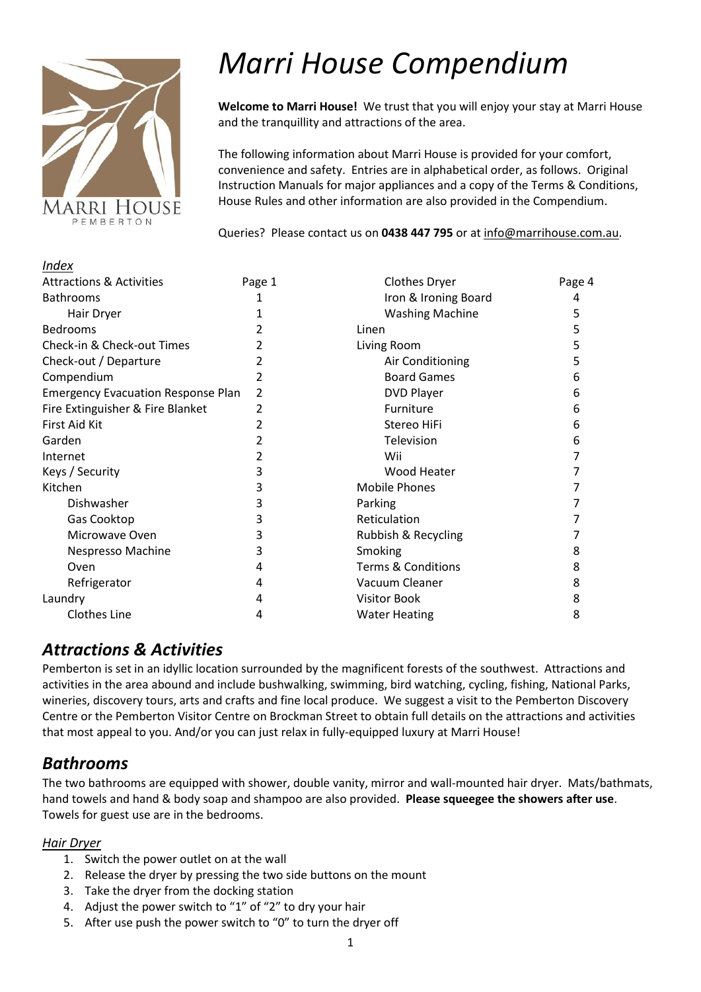

*Index*

# *Marri House Compendium*

**Welcome to Marri House!** We trust that you will enjoy your stay at Marri House and the tranquillity and attractions of the area.

The following information about Marri House is provided for your comfort, convenience and safety. Entries are in alphabetical order, as follows. Original Instruction Manuals for major appliances and a copy of the Terms & Conditions, House Rules and other information are also provided in the Compendium.

Queries? Please contact us on **0438 447 795** or at [info@marrihouse.com.au.](mailto:info@marrihouse.com.au)

| Page 1                                         | <b>Clothes Dryer</b>          | Page 4 |
|------------------------------------------------|-------------------------------|--------|
| 1                                              | Iron & Ironing Board          | 4      |
| 1                                              | <b>Washing Machine</b>        | 5      |
|                                                | Linen                         | 5      |
| 2                                              | Living Room                   | 5      |
| 2                                              | Air Conditioning              | 5      |
| 2                                              | <b>Board Games</b>            | 6      |
| <b>Emergency Evacuation Response Plan</b><br>2 | <b>DVD Player</b>             | 6      |
| 2                                              | Furniture                     | 6      |
| 2                                              | Stereo HiFi                   | 6      |
| 2                                              | Television                    | 6      |
|                                                | Wii                           |        |
| 3                                              | Wood Heater                   |        |
| 3                                              | <b>Mobile Phones</b>          |        |
| 3                                              | Parking                       |        |
| 3                                              | Reticulation                  |        |
| 3                                              | Rubbish & Recycling           |        |
| 3                                              | Smoking                       | 8      |
| 4                                              | <b>Terms &amp; Conditions</b> | 8      |
| 4                                              | Vacuum Cleaner                | 8      |
| 4                                              | <b>Visitor Book</b>           | 8      |
| 4                                              | <b>Water Heating</b>          | 8      |
|                                                |                               |        |

### *Attractions & Activities*

Pemberton is set in an idyllic location surrounded by the magnificent forests of the southwest. Attractions and activities in the area abound and include bushwalking, swimming, bird watching, cycling, fishing, National Parks, wineries, discovery tours, arts and crafts and fine local produce. We suggest a visit to the Pemberton Discovery Centre or the Pemberton Visitor Centre on Brockman Street to obtain full details on the attractions and activities that most appeal to you. And/or you can just relax in fully-equipped luxury at Marri House!

### *Bathrooms*

The two bathrooms are equipped with shower, double vanity, mirror and wall-mounted hair dryer. Mats/bathmats, hand towels and hand & body soap and shampoo are also provided. **Please squeegee the showers after use**. Towels for guest use are in the bedrooms.

#### *Hair Dryer*

- 1. Switch the power outlet on at the wall
- 2. Release the dryer by pressing the two side buttons on the mount
- 3. Take the dryer from the docking station
- 4. Adjust the power switch to "1" of "2" to dry your hair
- 5. After use push the power switch to "0" to turn the dryer off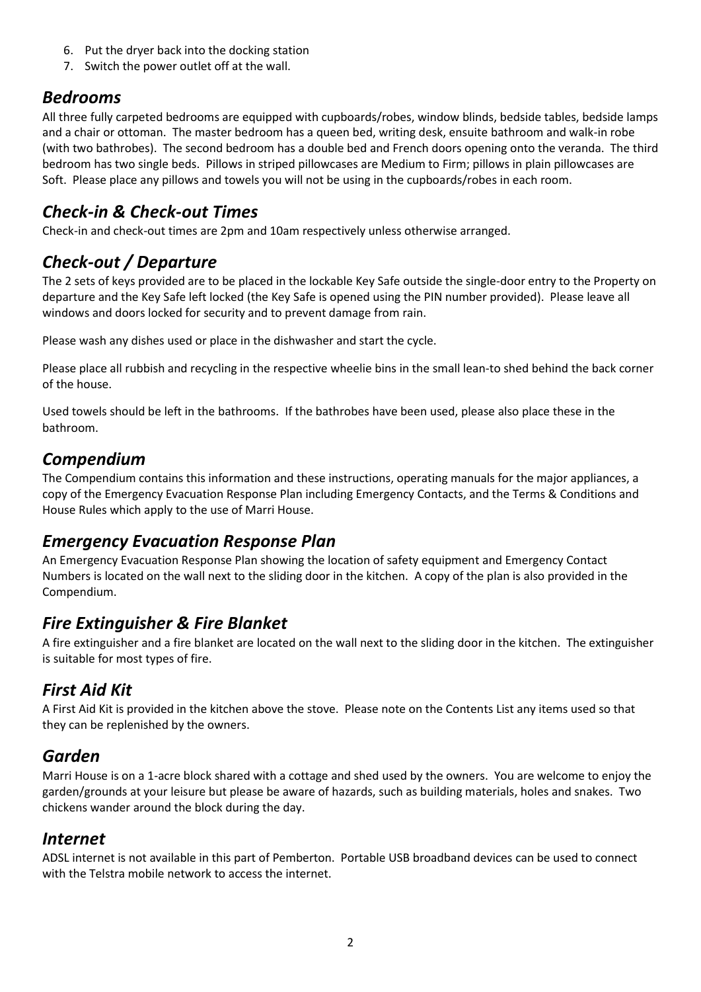- 6. Put the dryer back into the docking station
- 7. Switch the power outlet off at the wall.

### *Bedrooms*

All three fully carpeted bedrooms are equipped with cupboards/robes, window blinds, bedside tables, bedside lamps and a chair or ottoman. The master bedroom has a queen bed, writing desk, ensuite bathroom and walk-in robe (with two bathrobes). The second bedroom has a double bed and French doors opening onto the veranda. The third bedroom has two single beds. Pillows in striped pillowcases are Medium to Firm; pillows in plain pillowcases are Soft. Please place any pillows and towels you will not be using in the cupboards/robes in each room.

### *Check-in & Check-out Times*

Check-in and check-out times are 2pm and 10am respectively unless otherwise arranged.

# *Check-out / Departure*

The 2 sets of keys provided are to be placed in the lockable Key Safe outside the single-door entry to the Property on departure and the Key Safe left locked (the Key Safe is opened using the PIN number provided). Please leave all windows and doors locked for security and to prevent damage from rain.

Please wash any dishes used or place in the dishwasher and start the cycle.

Please place all rubbish and recycling in the respective wheelie bins in the small lean-to shed behind the back corner of the house.

Used towels should be left in the bathrooms. If the bathrobes have been used, please also place these in the bathroom.

### *Compendium*

The Compendium contains this information and these instructions, operating manuals for the major appliances, a copy of the Emergency Evacuation Response Plan including Emergency Contacts, and the Terms & Conditions and House Rules which apply to the use of Marri House.

### *Emergency Evacuation Response Plan*

An Emergency Evacuation Response Plan showing the location of safety equipment and Emergency Contact Numbers is located on the wall next to the sliding door in the kitchen. A copy of the plan is also provided in the Compendium.

### *Fire Extinguisher & Fire Blanket*

A fire extinguisher and a fire blanket are located on the wall next to the sliding door in the kitchen. The extinguisher is suitable for most types of fire.

## *First Aid Kit*

A First Aid Kit is provided in the kitchen above the stove. Please note on the Contents List any items used so that they can be replenished by the owners.

### *Garden*

Marri House is on a 1-acre block shared with a cottage and shed used by the owners. You are welcome to enjoy the garden/grounds at your leisure but please be aware of hazards, such as building materials, holes and snakes. Two chickens wander around the block during the day.

### *Internet*

ADSL internet is not available in this part of Pemberton. Portable USB broadband devices can be used to connect with the Telstra mobile network to access the internet.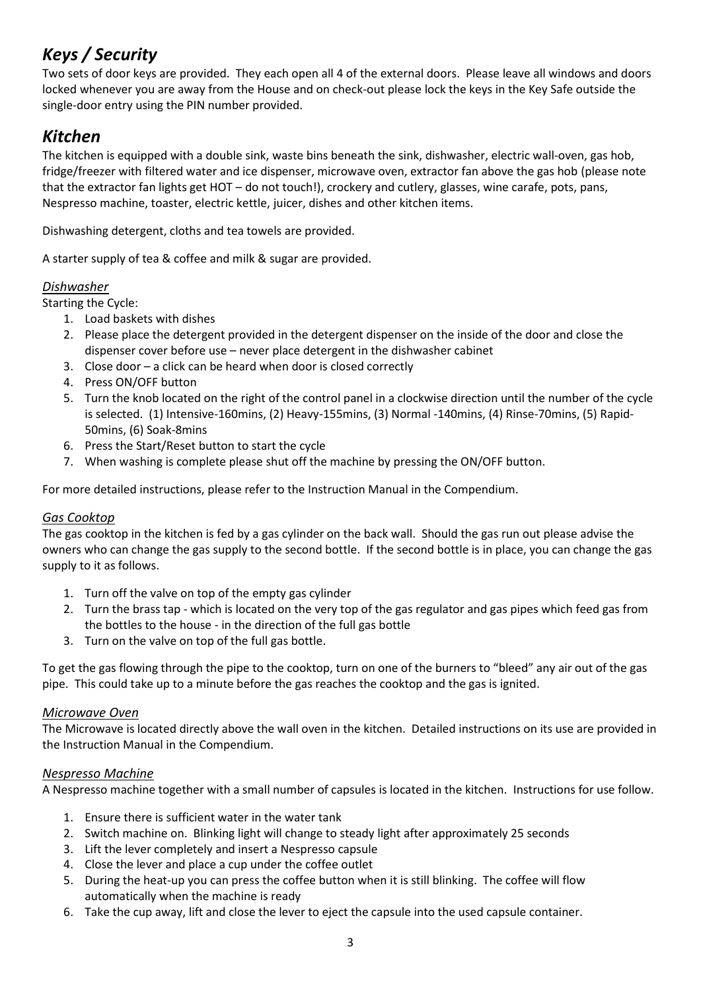# *Keys / Security*

Two sets of door keys are provided. They each open all 4 of the external doors. Please leave all windows and doors locked whenever you are away from the House and on check-out please lock the keys in the Key Safe outside the single-door entry using the PIN number provided.

### *Kitchen*

The kitchen is equipped with a double sink, waste bins beneath the sink, dishwasher, electric wall-oven, gas hob, fridge/freezer with filtered water and ice dispenser, microwave oven, extractor fan above the gas hob (please note that the extractor fan lights get HOT – do not touch!), crockery and cutlery, glasses, wine carafe, pots, pans, Nespresso machine, toaster, electric kettle, juicer, dishes and other kitchen items.

Dishwashing detergent, cloths and tea towels are provided.

A starter supply of tea & coffee and milk & sugar are provided.

#### *Dishwasher*

Starting the Cycle:

- 1. Load baskets with dishes
- 2. Please place the detergent provided in the detergent dispenser on the inside of the door and close the dispenser cover before use – never place detergent in the dishwasher cabinet
- 3. Close door a click can be heard when door is closed correctly
- 4. Press ON/OFF button
- 5. Turn the knob located on the right of the control panel in a clockwise direction until the number of the cycle is selected. (1) Intensive-160mins, (2) Heavy-155mins, (3) Normal -140mins, (4) Rinse-70mins, (5) Rapid-50mins, (6) Soak-8mins
- 6. Press the Start/Reset button to start the cycle
- 7. When washing is complete please shut off the machine by pressing the ON/OFF button.

For more detailed instructions, please refer to the Instruction Manual in the Compendium.

#### *Gas Cooktop*

The gas cooktop in the kitchen is fed by a gas cylinder on the back wall. Should the gas run out please advise the owners who can change the gas supply to the second bottle. If the second bottle is in place, you can change the gas supply to it as follows.

- 1. Turn off the valve on top of the empty gas cylinder
- 2. Turn the brass tap which is located on the very top of the gas regulator and gas pipes which feed gas from the bottles to the house - in the direction of the full gas bottle
- 3. Turn on the valve on top of the full gas bottle.

To get the gas flowing through the pipe to the cooktop, turn on one of the burners to "bleed" any air out of the gas pipe. This could take up to a minute before the gas reaches the cooktop and the gas is ignited.

#### *Microwave Oven*

The Microwave is located directly above the wall oven in the kitchen. Detailed instructions on its use are provided in the Instruction Manual in the Compendium.

#### *Nespresso Machine*

A Nespresso machine together with a small number of capsules is located in the kitchen. Instructions for use follow.

- 1. Ensure there is sufficient water in the water tank
- 2. Switch machine on. Blinking light will change to steady light after approximately 25 seconds
- 3. Lift the lever completely and insert a Nespresso capsule
- 4. Close the lever and place a cup under the coffee outlet
- 5. During the heat-up you can press the coffee button when it is still blinking. The coffee will flow automatically when the machine is ready
- 6. Take the cup away, lift and close the lever to eject the capsule into the used capsule container.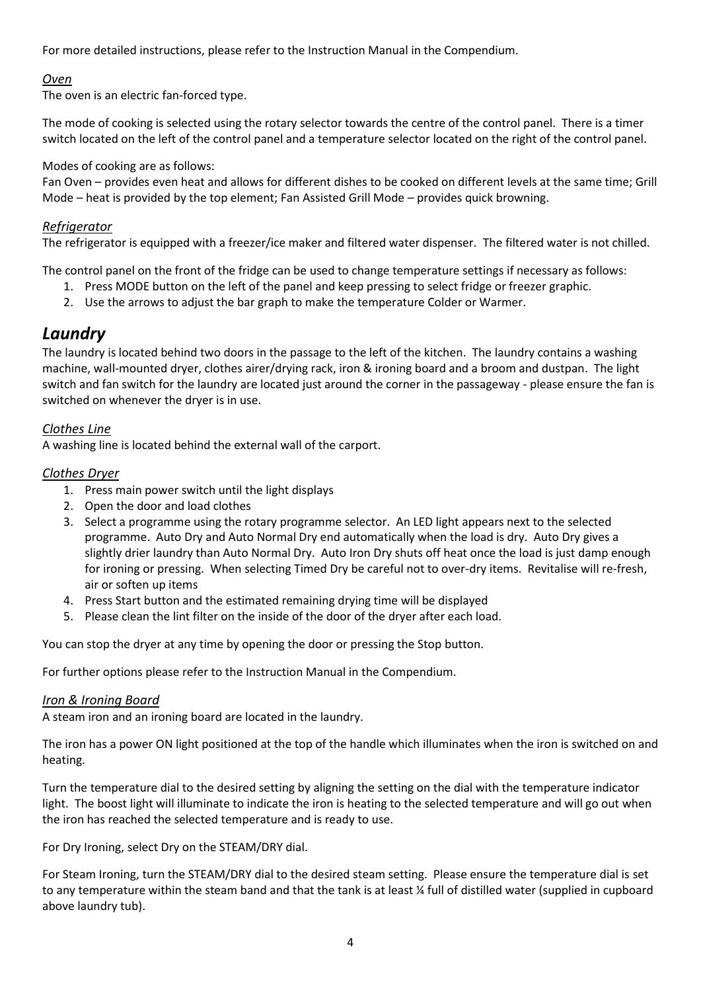For more detailed instructions, please refer to the Instruction Manual in the Compendium.

#### *Oven*

The oven is an electric fan-forced type.

The mode of cooking is selected using the rotary selector towards the centre of the control panel. There is a timer switch located on the left of the control panel and a temperature selector located on the right of the control panel.

#### Modes of cooking are as follows:

Fan Oven – provides even heat and allows for different dishes to be cooked on different levels at the same time; Grill Mode – heat is provided by the top element; Fan Assisted Grill Mode – provides quick browning.

#### *Refrigerator*

The refrigerator is equipped with a freezer/ice maker and filtered water dispenser. The filtered water is not chilled.

The control panel on the front of the fridge can be used to change temperature settings if necessary as follows:

- 1. Press MODE button on the left of the panel and keep pressing to select fridge or freezer graphic.
- 2. Use the arrows to adjust the bar graph to make the temperature Colder or Warmer.

#### *Laundry*

The laundry is located behind two doors in the passage to the left of the kitchen. The laundry contains a washing machine, wall-mounted dryer, clothes airer/drying rack, iron & ironing board and a broom and dustpan. The light switch and fan switch for the laundry are located just around the corner in the passageway - please ensure the fan is switched on whenever the dryer is in use.

#### *Clothes Line*

A washing line is located behind the external wall of the carport.

#### *Clothes Dryer*

- 1. Press main power switch until the light displays
- 2. Open the door and load clothes
- 3. Select a programme using the rotary programme selector. An LED light appears next to the selected programme. Auto Dry and Auto Normal Dry end automatically when the load is dry. Auto Dry gives a slightly drier laundry than Auto Normal Dry. Auto Iron Dry shuts off heat once the load is just damp enough for ironing or pressing. When selecting Timed Dry be careful not to over-dry items. Revitalise will re-fresh, air or soften up items
- 4. Press Start button and the estimated remaining drying time will be displayed
- 5. Please clean the lint filter on the inside of the door of the dryer after each load.

You can stop the dryer at any time by opening the door or pressing the Stop button.

For further options please refer to the Instruction Manual in the Compendium.

#### *Iron & Ironing Board*

A steam iron and an ironing board are located in the laundry.

The iron has a power ON light positioned at the top of the handle which illuminates when the iron is switched on and heating.

Turn the temperature dial to the desired setting by aligning the setting on the dial with the temperature indicator light. The boost light will illuminate to indicate the iron is heating to the selected temperature and will go out when the iron has reached the selected temperature and is ready to use.

For Dry Ironing, select Dry on the STEAM/DRY dial.

For Steam Ironing, turn the STEAM/DRY dial to the desired steam setting. Please ensure the temperature dial is set to any temperature within the steam band and that the tank is at least % full of distilled water (supplied in cupboard above laundry tub).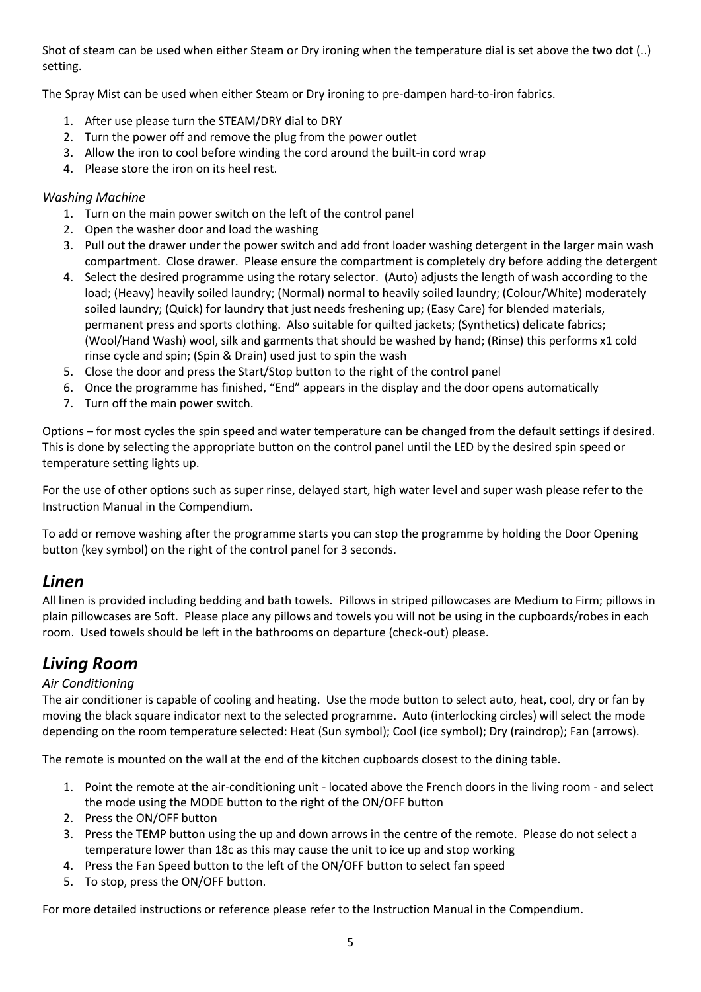Shot of steam can be used when either Steam or Dry ironing when the temperature dial is set above the two dot (..) setting.

The Spray Mist can be used when either Steam or Dry ironing to pre-dampen hard-to-iron fabrics.

- 1. After use please turn the STEAM/DRY dial to DRY
- 2. Turn the power off and remove the plug from the power outlet
- 3. Allow the iron to cool before winding the cord around the built-in cord wrap
- 4. Please store the iron on its heel rest.

#### *Washing Machine*

- 1. Turn on the main power switch on the left of the control panel
- 2. Open the washer door and load the washing
- 3. Pull out the drawer under the power switch and add front loader washing detergent in the larger main wash compartment. Close drawer. Please ensure the compartment is completely dry before adding the detergent
- 4. Select the desired programme using the rotary selector. (Auto) adjusts the length of wash according to the load; (Heavy) heavily soiled laundry; (Normal) normal to heavily soiled laundry; (Colour/White) moderately soiled laundry; (Quick) for laundry that just needs freshening up; (Easy Care) for blended materials, permanent press and sports clothing. Also suitable for quilted jackets; (Synthetics) delicate fabrics; (Wool/Hand Wash) wool, silk and garments that should be washed by hand; (Rinse) this performs x1 cold rinse cycle and spin; (Spin & Drain) used just to spin the wash
- 5. Close the door and press the Start/Stop button to the right of the control panel
- 6. Once the programme has finished, "End" appears in the display and the door opens automatically
- 7. Turn off the main power switch.

Options – for most cycles the spin speed and water temperature can be changed from the default settings if desired. This is done by selecting the appropriate button on the control panel until the LED by the desired spin speed or temperature setting lights up.

For the use of other options such as super rinse, delayed start, high water level and super wash please refer to the Instruction Manual in the Compendium.

To add or remove washing after the programme starts you can stop the programme by holding the Door Opening button (key symbol) on the right of the control panel for 3 seconds.

#### *Linen*

All linen is provided including bedding and bath towels. Pillows in striped pillowcases are Medium to Firm; pillows in plain pillowcases are Soft. Please place any pillows and towels you will not be using in the cupboards/robes in each room. Used towels should be left in the bathrooms on departure (check-out) please.

### *Living Room*

#### *Air Conditioning*

The air conditioner is capable of cooling and heating. Use the mode button to select auto, heat, cool, dry or fan by moving the black square indicator next to the selected programme. Auto (interlocking circles) will select the mode depending on the room temperature selected: Heat (Sun symbol); Cool (ice symbol); Dry (raindrop); Fan (arrows).

The remote is mounted on the wall at the end of the kitchen cupboards closest to the dining table.

- 1. Point the remote at the air-conditioning unit located above the French doors in the living room and select the mode using the MODE button to the right of the ON/OFF button
- 2. Press the ON/OFF button
- 3. Press the TEMP button using the up and down arrows in the centre of the remote. Please do not select a temperature lower than 18c as this may cause the unit to ice up and stop working
- 4. Press the Fan Speed button to the left of the ON/OFF button to select fan speed
- 5. To stop, press the ON/OFF button.

For more detailed instructions or reference please refer to the Instruction Manual in the Compendium.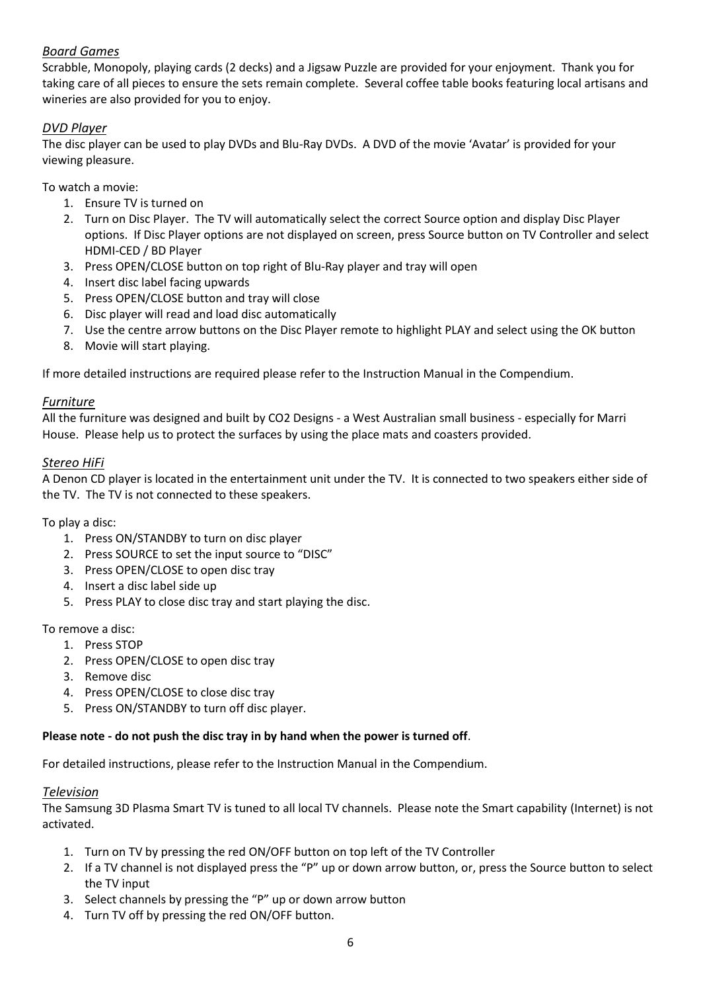#### *Board Games*

Scrabble, Monopoly, playing cards (2 decks) and a Jigsaw Puzzle are provided for your enjoyment. Thank you for taking care of all pieces to ensure the sets remain complete. Several coffee table books featuring local artisans and wineries are also provided for you to enjoy.

#### *DVD Player*

The disc player can be used to play DVDs and Blu-Ray DVDs. A DVD of the movie 'Avatar' is provided for your viewing pleasure.

To watch a movie:

- 1. Ensure TV is turned on
- 2. Turn on Disc Player. The TV will automatically select the correct Source option and display Disc Player options. If Disc Player options are not displayed on screen, press Source button on TV Controller and select HDMI-CED / BD Player
- 3. Press OPEN/CLOSE button on top right of Blu-Ray player and tray will open
- 4. Insert disc label facing upwards
- 5. Press OPEN/CLOSE button and tray will close
- 6. Disc player will read and load disc automatically
- 7. Use the centre arrow buttons on the Disc Player remote to highlight PLAY and select using the OK button
- 8. Movie will start playing.

If more detailed instructions are required please refer to the Instruction Manual in the Compendium.

#### *Furniture*

All the furniture was designed and built by CO2 Designs - a West Australian small business - especially for Marri House. Please help us to protect the surfaces by using the place mats and coasters provided.

#### *Stereo HiFi*

A Denon CD player is located in the entertainment unit under the TV. It is connected to two speakers either side of the TV. The TV is not connected to these speakers.

To play a disc:

- 1. Press ON/STANDBY to turn on disc player
- 2. Press SOURCE to set the input source to "DISC"
- 3. Press OPEN/CLOSE to open disc tray
- 4. Insert a disc label side up
- 5. Press PLAY to close disc tray and start playing the disc.

To remove a disc:

- 1. Press STOP
- 2. Press OPEN/CLOSE to open disc tray
- 3. Remove disc
- 4. Press OPEN/CLOSE to close disc tray
- 5. Press ON/STANDBY to turn off disc player.

#### **Please note - do not push the disc tray in by hand when the power is turned off**.

For detailed instructions, please refer to the Instruction Manual in the Compendium.

#### *Television*

The Samsung 3D Plasma Smart TV is tuned to all local TV channels. Please note the Smart capability (Internet) is not activated.

- 1. Turn on TV by pressing the red ON/OFF button on top left of the TV Controller
- 2. If a TV channel is not displayed press the "P" up or down arrow button, or, press the Source button to select the TV input
- 3. Select channels by pressing the "P" up or down arrow button
- 4. Turn TV off by pressing the red ON/OFF button.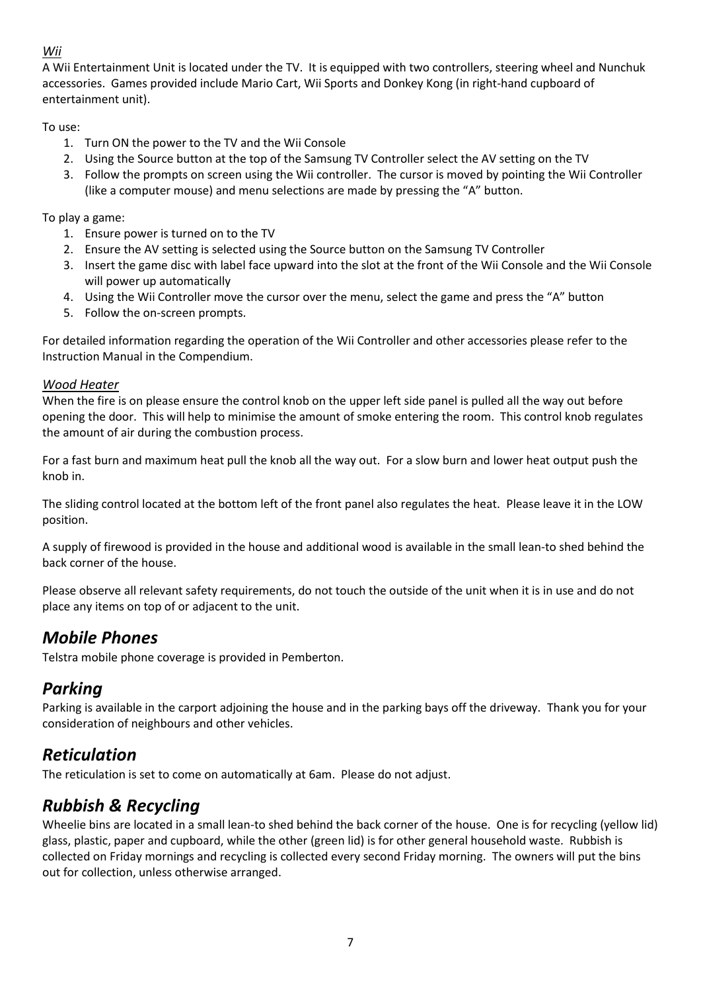#### *Wii*

A Wii Entertainment Unit is located under the TV. It is equipped with two controllers, steering wheel and Nunchuk accessories. Games provided include Mario Cart, Wii Sports and Donkey Kong (in right-hand cupboard of entertainment unit).

#### To use:

- 1. Turn ON the power to the TV and the Wii Console
- 2. Using the Source button at the top of the Samsung TV Controller select the AV setting on the TV
- 3. Follow the prompts on screen using the Wii controller. The cursor is moved by pointing the Wii Controller (like a computer mouse) and menu selections are made by pressing the "A" button.

To play a game:

- 1. Ensure power is turned on to the TV
- 2. Ensure the AV setting is selected using the Source button on the Samsung TV Controller
- 3. Insert the game disc with label face upward into the slot at the front of the Wii Console and the Wii Console will power up automatically
- 4. Using the Wii Controller move the cursor over the menu, select the game and press the "A" button
- 5. Follow the on-screen prompts.

For detailed information regarding the operation of the Wii Controller and other accessories please refer to the Instruction Manual in the Compendium.

#### *Wood Heater*

When the fire is on please ensure the control knob on the upper left side panel is pulled all the way out before opening the door. This will help to minimise the amount of smoke entering the room. This control knob regulates the amount of air during the combustion process.

For a fast burn and maximum heat pull the knob all the way out. For a slow burn and lower heat output push the knob in.

The sliding control located at the bottom left of the front panel also regulates the heat. Please leave it in the LOW position.

A supply of firewood is provided in the house and additional wood is available in the small lean-to shed behind the back corner of the house.

Please observe all relevant safety requirements, do not touch the outside of the unit when it is in use and do not place any items on top of or adjacent to the unit.

### *Mobile Phones*

Telstra mobile phone coverage is provided in Pemberton.

### *Parking*

Parking is available in the carport adjoining the house and in the parking bays off the driveway. Thank you for your consideration of neighbours and other vehicles.

### *Reticulation*

The reticulation is set to come on automatically at 6am. Please do not adjust.

### *Rubbish & Recycling*

Wheelie bins are located in a small lean-to shed behind the back corner of the house. One is for recycling (yellow lid) glass, plastic, paper and cupboard, while the other (green lid) is for other general household waste. Rubbish is collected on Friday mornings and recycling is collected every second Friday morning. The owners will put the bins out for collection, unless otherwise arranged.